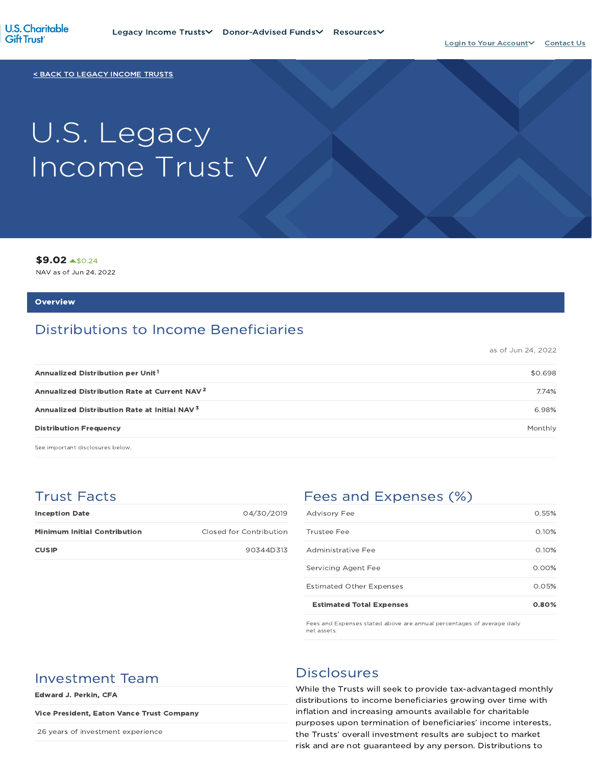

< BACK TO LEGACY INCOME TRUSTS

# U.S. Legacy Income Trust V

\$9.02 \$0.24

NAV as of Jun 24, 2022

#### **Overview**

## Distributions to Income Beneficiaries

as of Jun 24, 2022

| \$0.698 |
|---------|
| 7.74%   |
| 6.98%   |
| Monthly |
|         |

See important disclosures below.

## Trust Facts

| <b>Inception Date</b>               | 04/30/2019              |
|-------------------------------------|-------------------------|
| <b>Minimum Initial Contribution</b> | Closed for Contribution |
| <b>CUSIP</b>                        | 90344D313               |

## Fees and Expenses (%)

| <b>Estimated Total Expenses</b> | 0.80%    |
|---------------------------------|----------|
| <b>Estimated Other Expenses</b> | 0.05%    |
| Servicing Agent Fee             | $0.00\%$ |
| Administrative Fee              | 0.10%    |
| Trustee Fee                     | 0.10%    |
| <b>Advisory Fee</b>             | 0.55%    |

Fees and Expenses stated above are annual percentages of average daily net assets.

## Investment Team Disclosures

Edward J. Perkin, CFA

#### Vice President, Eaton Vance Trust Company

26 years of investment experience

While the Trusts will seek to provide tax-advantaged monthly distributions to income beneficiaries growing over time with inflation and increasing amounts available for charitable purposes upon termination of beneficiaries' income interests, the Trusts' overall investment results are subject to market risk and are not guaranteed by any person. Distributions to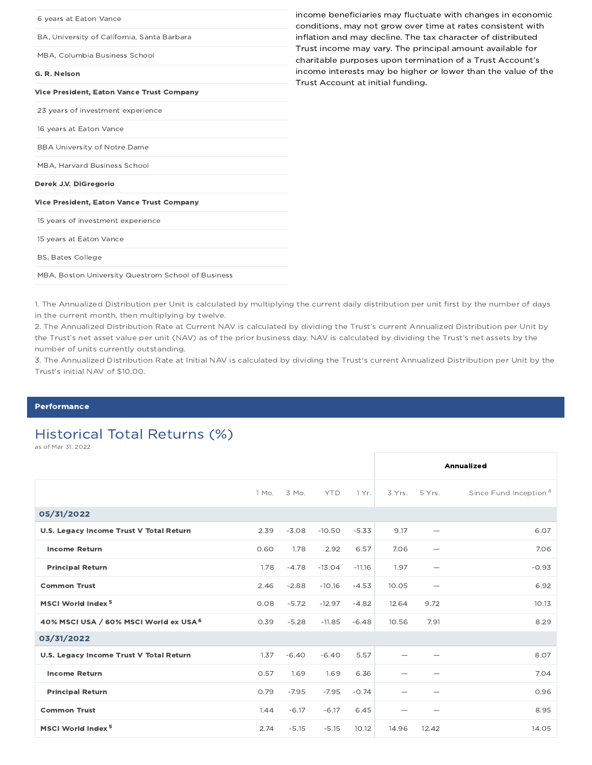| income beneficiaries may fluctuate with changes in economic<br>conditions, may not grow over time at rates consistent with |
|----------------------------------------------------------------------------------------------------------------------------|
| inflation and may decline. The tax character of distributed                                                                |
| Trust income may vary. The principal amount available for<br>charitable purposes upon termination of a Trust Account's     |
| income interests may be higher or lower than the value of the<br>Trust Account at initial funding.                         |
|                                                                                                                            |
|                                                                                                                            |
|                                                                                                                            |
|                                                                                                                            |
|                                                                                                                            |
|                                                                                                                            |
|                                                                                                                            |
|                                                                                                                            |
|                                                                                                                            |
|                                                                                                                            |
|                                                                                                                            |
|                                                                                                                            |

1. The Annualized Distribution per Unit is calculated by multiplying the current daily distribution per unit first by the number of days in the current month, then multiplying by twelve.

2. The Annualized Distribution Rate at Current NAV is calculated by dividing the Trust's current Annualized Distribution per Unit by the Trust's net asset value per unit (NAV) as of the prior business day. NAV is calculated by dividing the Trust's net assets by the number of units currently outstanding.

3. The Annualized Distribution Rate at Initial NAV is calculated by dividing the Trust's current Annualized Distribution per Unit by the Trust's initial NAV of \$10.00.

#### **Performance**

## Historical Total Returns (%)

as of Mar 31, 2022

|                                         |       |         |            |          |       |                          | Annualized                        |
|-----------------------------------------|-------|---------|------------|----------|-------|--------------------------|-----------------------------------|
|                                         | 1 Mo. | 3 Mo.   | <b>YTD</b> | 1 Yr.    |       | 3 Yrs. 5 Yrs.            | Since Fund Inception <sup>4</sup> |
| 05/31/2022                              |       |         |            |          |       |                          |                                   |
| U.S. Legacy Income Trust V Total Return | 2.39  | $-3.08$ | $-10.50$   | $-5.33$  | 9.17  |                          | 6.07                              |
| <b>Income Return</b>                    | 0.60  | 1.78    | 2.92       | 6.57     | 7.06  | $\overline{\phantom{0}}$ | 7.06                              |
| <b>Principal Return</b>                 | 1.78  | $-4.78$ | $-13.04$   | $-11.16$ | 1.97  |                          | $-0.93$                           |
| <b>Common Trust</b>                     | 2.46  | $-2.88$ | $-10.16$   | $-4.53$  | 10.05 | $\overline{\phantom{0}}$ | 6.92                              |
| MSCI World Index <sup>5</sup>           | 0.08  | $-5.72$ | $-12.97$   | $-4.82$  | 12.64 | 9.72                     | 10.13                             |
| 40% MSCI USA / 60% MSCI World ex USA 6  | 0.39  | $-5.28$ | $-11.85$   | $-6.48$  | 10.56 | 7.91                     | 8.29                              |
| 03/31/2022                              |       |         |            |          |       |                          |                                   |
| U.S. Legacy Income Trust V Total Return | 1.37  | $-6.40$ | $-6.40$    | 5.57     |       |                          | 8.07                              |
| <b>Income Return</b>                    | 0.57  | 1.69    | 1.69       | 6.36     |       |                          | 7.04                              |
| <b>Principal Return</b>                 | 0.79  | $-7.95$ | $-7.95$    | $-0.74$  |       |                          | 0.96                              |
| <b>Common Trust</b>                     | 1.44  | $-6.17$ | $-6.17$    | 6.45     |       |                          | 8.95                              |
| MSCI World Index <sup>5</sup>           | 2.74  | $-5.15$ | $-5.15$    | 10.12    | 14.96 | 12.42                    | 14.05                             |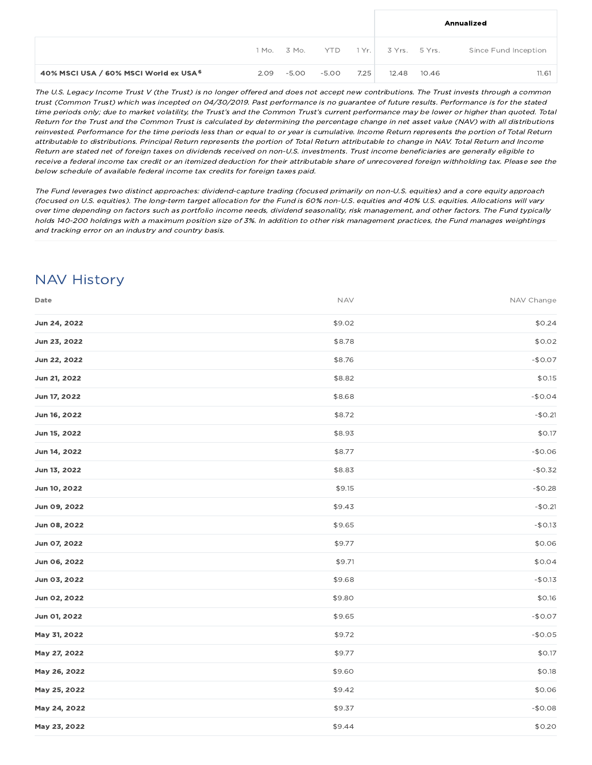|                                        |                 |       |      |                     |       | Annualized           |
|----------------------------------------|-----------------|-------|------|---------------------|-------|----------------------|
|                                        | 1 Mo. 3 Mo. YTD |       |      | 1 Yr. 3 Yrs. 5 Yrs. |       | Since Fund Inception |
| 40% MSCI USA / 60% MSCI World ex USA 6 | $2.09 - 5.00$   | -5.00 | 7.25 | 12.48               | 10.46 | 11.61                |

The U.S. Legacy Income Trust V (the Trust) is no longer offered and does not accept new contributions. The Trust invests through <sup>a</sup> common trust (Common Trust) which was incepted on 04/30/2019. Past performance is no guarantee of future results. Performance is for the stated time periods only; due to market volatility, the Trust's and the Common Trust's current performance may be lower or higher than quoted. Total Return for the Trust and the Common Trust is calculated by determining the percentage change in net asset value (NAV) with all distributions reinvested. Performance for the time periods less than or equal to or year is cumulative. Income Return represents the portion of Total Return attributable to distributions. Principal Return represents the portion of Total Return attributable to change in NAV. Total Return and Income Return are stated net of foreign taxes on dividends received on non-U.S. investments. Trust income beneficiaries are generally eligible to receive <sup>a</sup> federal income tax credit or an itemized deduction for their attributable share of unrecovered foreign withholding tax. Please see the below schedule of available federal income tax credits for foreign taxes paid.

The Fund leverages two distinct approaches: dividend-capture trading (focused primarily on non-U.S. equities) and <sup>a</sup> core equity approach (focused on U.S. equities). The long-term target allocation for the Fund is 60% non-U.S. equities and 40% U.S. equities. Allocations will vary over time depending on factors such as portfolio income needs, dividend seasonality, risk management, and other factors. The Fund typically holds 140-200 holdings with <sup>a</sup> maximum position size of 3%. In addition to other risk management practices, the Fund manages weightings and tracking error on an industry and country basis.

## NAV History

| Date         | <b>NAV</b> | NAV Change |
|--------------|------------|------------|
| Jun 24, 2022 | \$9.02     | \$0.24     |
| Jun 23, 2022 | \$8.78     | \$0.02     |
| Jun 22, 2022 | \$8.76     | $-$0.07$   |
| Jun 21, 2022 | \$8.82     | \$0.15     |
| Jun 17, 2022 | \$8.68     | $-$0.04$   |
| Jun 16, 2022 | \$8.72     | $-$0.21$   |
| Jun 15, 2022 | \$8.93     | \$0.17     |
| Jun 14, 2022 | \$8.77     | $-$0.06$   |
| Jun 13, 2022 | \$8.83     | $-$0.32$   |
| Jun 10, 2022 | \$9.15     | $-$0.28$   |
| Jun 09, 2022 | \$9.43     | $-$0.21$   |
| Jun 08, 2022 | \$9.65     | $-$0.13$   |
| Jun 07, 2022 | \$9.77     | \$0.06     |
| Jun 06, 2022 | \$9.71     | \$0.04     |
| Jun 03, 2022 | \$9.68     | $-$0.13$   |
| Jun 02, 2022 | \$9.80     | \$0.16     |
| Jun 01, 2022 | \$9.65     | $-$0.07$   |
| May 31, 2022 | \$9.72     | $-$0.05$   |
| May 27, 2022 | \$9.77     | \$0.17     |
| May 26, 2022 | \$9.60     | \$0.18     |
| May 25, 2022 | \$9.42     | \$0.06     |
| May 24, 2022 | \$9.37     | $-$0.08$   |
| May 23, 2022 | \$9.44     | \$0.20     |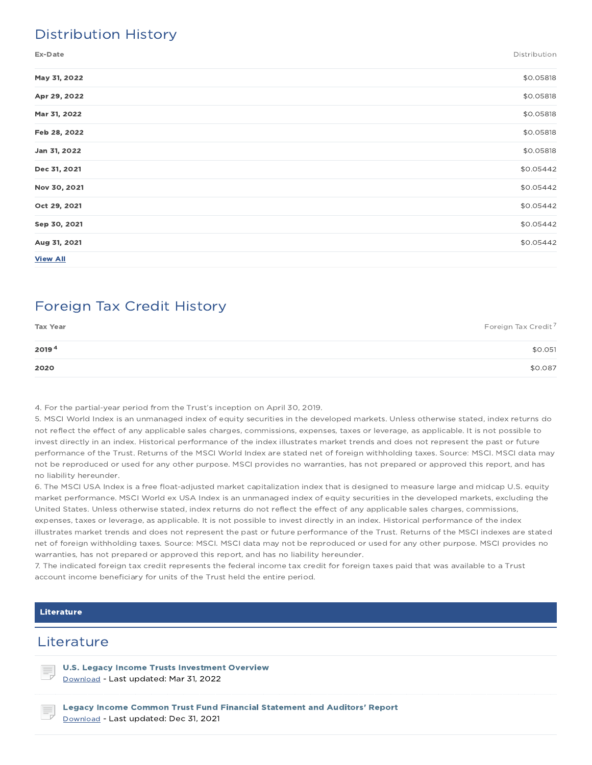## Distribution History

Ex-Date Distribution

| May 31, 2022    | \$0.05818 |
|-----------------|-----------|
| Apr 29, 2022    | \$0.05818 |
| Mar 31, 2022    | \$0.05818 |
| Feb 28, 2022    | \$0.05818 |
| Jan 31, 2022    | \$0.05818 |
| Dec 31, 2021    | \$0.05442 |
| Nov 30, 2021    | \$0.05442 |
| Oct 29, 2021    | \$0.05442 |
| Sep 30, 2021    | \$0.05442 |
| Aug 31, 2021    | \$0.05442 |
| <b>View All</b> |           |

## Foreign Tax Credit History

| <b>Tax Year</b> | Foreign Tax Credit <sup>7</sup> |
|-----------------|---------------------------------|
| 20194           | \$0.051                         |
| 2020            | \$0.087                         |

4. For the partial-year period from the Trust's inception on April 30, 2019.

5. MSCI World Index is an unmanaged index of equity securities in the developed markets. Unless otherwise stated, index returns do not reflect the effect of any applicable sales charges, commissions, expenses, taxes or leverage, as applicable. It is not possible to invest directly in an index. Historical performance of the index illustrates market trends and does not represent the past or future performance of the Trust. Returns of the MSCI World Index are stated net of foreign withholding taxes. Source: MSCI. MSCI data may not be reproduced or used for any other purpose. MSCI provides no warranties, has not prepared or approved this report, and has no liability hereunder.

6. The MSCI USA Index is a free float-adjusted market capitalization index that is designed to measure large and midcap U.S. equity market performance. MSCI World ex USA Index is an unmanaged index of equity securities in the developed markets, excluding the United States. Unless otherwise stated, index returns do not reflect the effect of any applicable sales charges, commissions, expenses, taxes or leverage, as applicable. It is not possible to invest directly in an index. Historical performance of the index illustrates market trends and does not represent the past or future performance of the Trust. Returns of the MSCI indexes are stated net of foreign withholding taxes. Source: MSCI. MSCI data may not be reproduced or used for any other purpose. MSCI provides no warranties, has not prepared or approved this report, and has no liability hereunder.

7. The indicated foreign tax credit represents the federal income tax credit for foreign taxes paid that was available to a Trust account income beneficiary for units of the Trust held the entire period.

#### Literature

### **Literature**

U.S. Legacy Income Trusts Investment Overview Download - Last updated: Mar 31, 2022

Legacy Income Common Trust Fund Financial Statement and Auditors' Report Download - Last updated: Dec 31, 2021